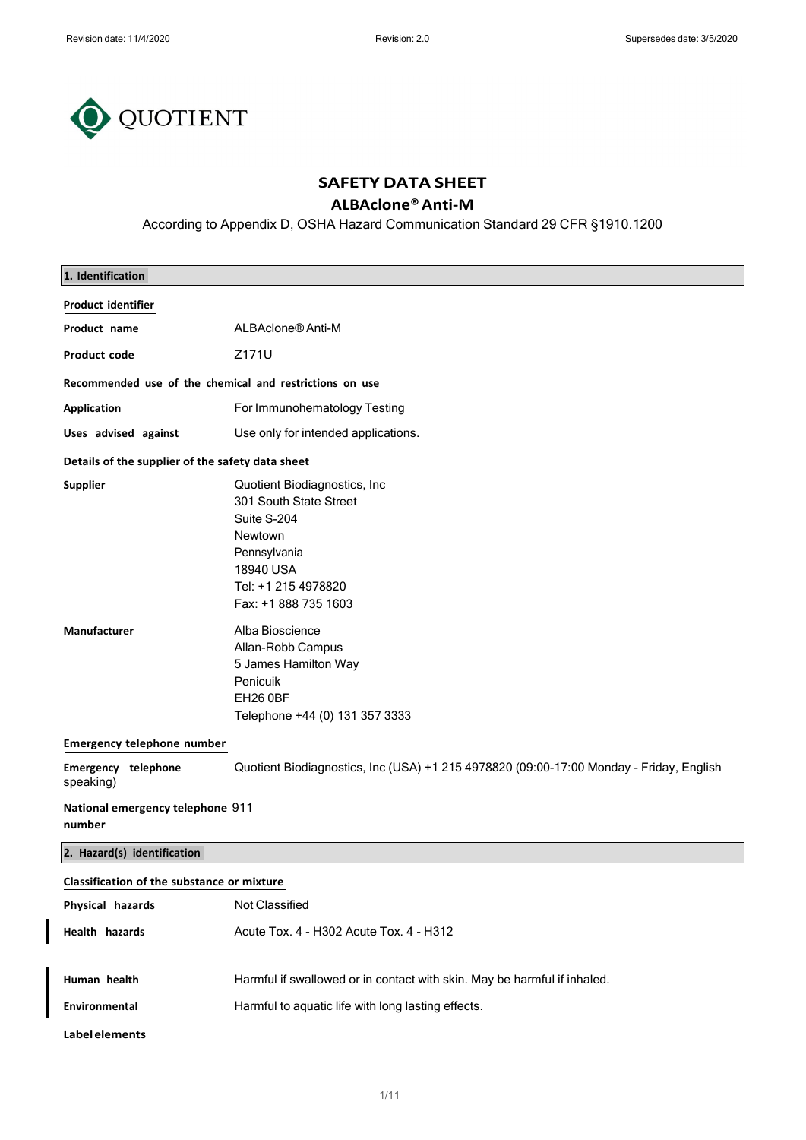$\overline{\phantom{a}}$ 



## SAFETY DATA SHEET

# ALBAclone® Anti-M

According to Appendix D, OSHA Hazard Communication Standard 29 CFR §1910.1200

| 1. Identification                                       |                                                                                                                                                                                                                                                                                         |  |
|---------------------------------------------------------|-----------------------------------------------------------------------------------------------------------------------------------------------------------------------------------------------------------------------------------------------------------------------------------------|--|
| <b>Product identifier</b>                               |                                                                                                                                                                                                                                                                                         |  |
| Product name                                            | ALBAclone <sup>®</sup> Anti-M                                                                                                                                                                                                                                                           |  |
| <b>Product code</b>                                     | Z171U                                                                                                                                                                                                                                                                                   |  |
| Recommended use of the chemical and restrictions on use |                                                                                                                                                                                                                                                                                         |  |
| <b>Application</b>                                      | For Immunohematology Testing                                                                                                                                                                                                                                                            |  |
| Uses advised against                                    | Use only for intended applications.                                                                                                                                                                                                                                                     |  |
| Details of the supplier of the safety data sheet        |                                                                                                                                                                                                                                                                                         |  |
| <b>Supplier</b><br>Manufacturer                         | Quotient Biodiagnostics, Inc.<br>301 South State Street<br>Suite S-204<br>Newtown<br>Pennsylvania<br>18940 USA<br>Tel: +1 215 4978820<br>Fax: +1 888 735 1603<br>Alba Bioscience<br>Allan-Robb Campus<br>5 James Hamilton Way<br>Penicuik<br>EH26 0BF<br>Telephone +44 (0) 131 357 3333 |  |
| <b>Emergency telephone number</b>                       |                                                                                                                                                                                                                                                                                         |  |
| Emergency telephone<br>speaking)                        | Quotient Biodiagnostics, Inc (USA) +1 215 4978820 (09:00-17:00 Monday - Friday, English                                                                                                                                                                                                 |  |
| National emergency telephone 911<br>number              |                                                                                                                                                                                                                                                                                         |  |
| 2. Hazard(s) identification                             |                                                                                                                                                                                                                                                                                         |  |
| Classification of the substance or mixture              |                                                                                                                                                                                                                                                                                         |  |
| Physical hazards                                        | Not Classified                                                                                                                                                                                                                                                                          |  |
| Health hazards                                          | Acute Tox. 4 - H302 Acute Tox. 4 - H312                                                                                                                                                                                                                                                 |  |
| Human health                                            | Harmful if swallowed or in contact with skin. May be harmful if inhaled.                                                                                                                                                                                                                |  |
| Environmental                                           | Harmful to aquatic life with long lasting effects.                                                                                                                                                                                                                                      |  |
| <b>Label elements</b>                                   |                                                                                                                                                                                                                                                                                         |  |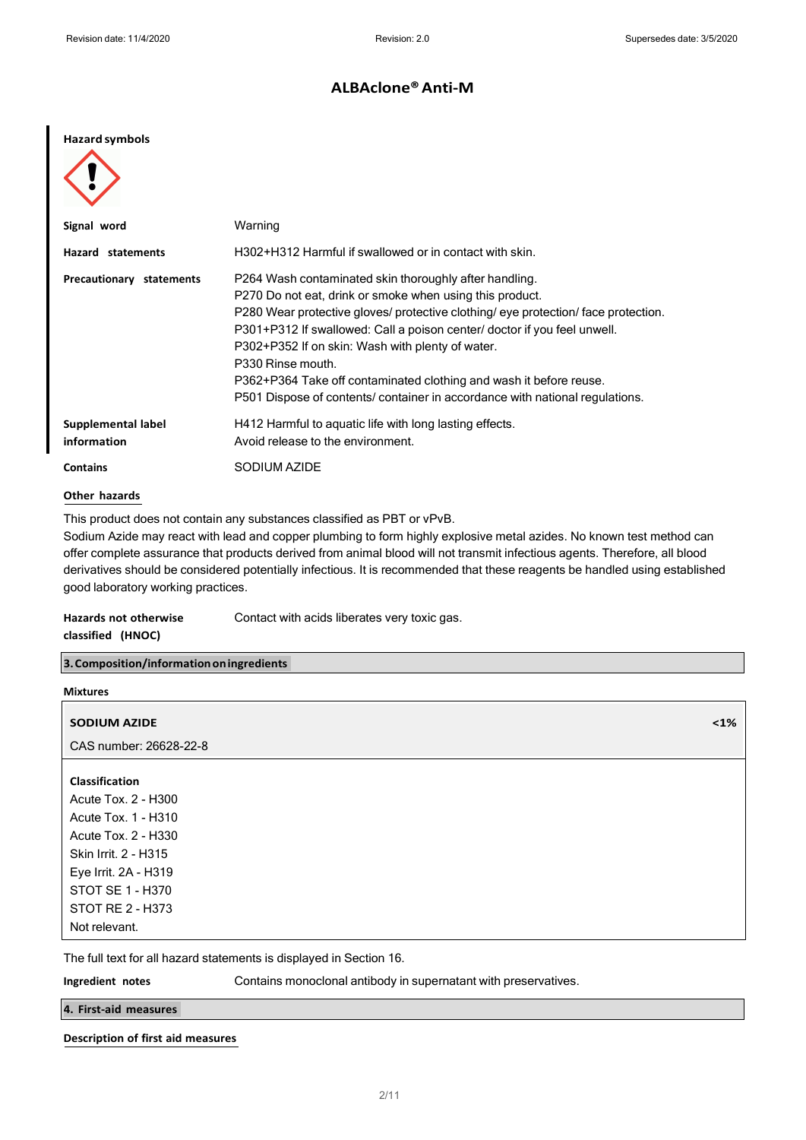#### Hazard symbols

| Signal word                       | Warning                                                                                                                                                                                                                                                                                                                                                                                                                                                                                                             |
|-----------------------------------|---------------------------------------------------------------------------------------------------------------------------------------------------------------------------------------------------------------------------------------------------------------------------------------------------------------------------------------------------------------------------------------------------------------------------------------------------------------------------------------------------------------------|
| Hazard statements                 | H302+H312 Harmful if swallowed or in contact with skin.                                                                                                                                                                                                                                                                                                                                                                                                                                                             |
| Precautionary statements          | P264 Wash contaminated skin thoroughly after handling.<br>P270 Do not eat, drink or smoke when using this product.<br>P280 Wear protective gloves/ protective clothing/ eye protection/ face protection.<br>P301+P312 If swallowed: Call a poison center/ doctor if you feel unwell.<br>P302+P352 If on skin: Wash with plenty of water.<br>P330 Rinse mouth.<br>P362+P364 Take off contaminated clothing and wash it before reuse.<br>P501 Dispose of contents/ container in accordance with national regulations. |
| Supplemental label<br>information | H412 Harmful to aquatic life with long lasting effects.<br>Avoid release to the environment.                                                                                                                                                                                                                                                                                                                                                                                                                        |
| <b>Contains</b>                   | SODIUM AZIDE                                                                                                                                                                                                                                                                                                                                                                                                                                                                                                        |

#### Other hazards

This product does not contain any substances classified as PBT or vPvB.

Sodium Azide may react with lead and copper plumbing to form highly explosive metal azides. No known test method can offer complete assurance that products derived from animal blood will not transmit infectious agents. Therefore, all blood derivatives should be considered potentially infectious. It is recommended that these reagents be handled using established good laboratory working practices.

| <b>Hazards not otherwise</b> | Contact with acids liberates very toxic gas. |
|------------------------------|----------------------------------------------|
| classified (HNOC)            |                                              |

3. Composition/information on ingredients

| $\leq 1\%$ |
|------------|
|            |
|            |
|            |
|            |
|            |
|            |
|            |
|            |
|            |
|            |
|            |
|            |

The full text for all hazard statements is displayed in Section 16.

Ingredient notes Contains monoclonal antibody in supernatant with preservatives.

4. First-aid measures

Description of first aid measures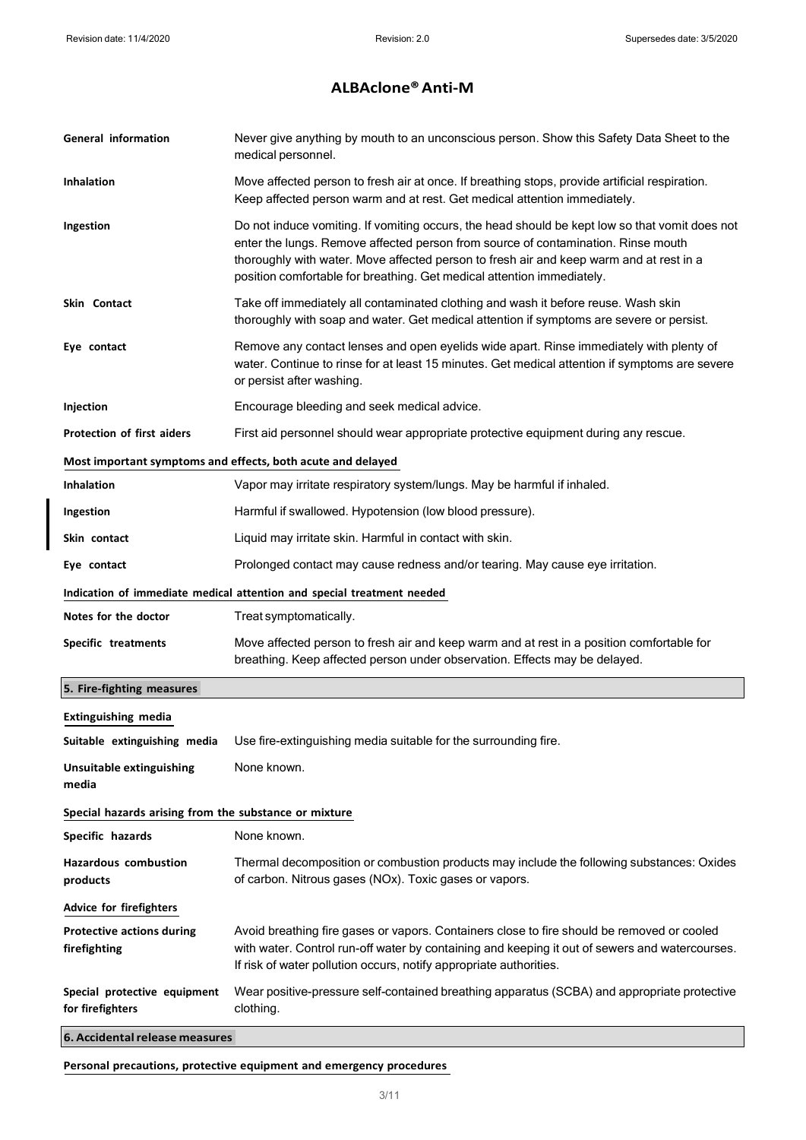| <b>General information</b>                            | Never give anything by mouth to an unconscious person. Show this Safety Data Sheet to the<br>medical personnel.                                                                                                                                                                                                                                          |
|-------------------------------------------------------|----------------------------------------------------------------------------------------------------------------------------------------------------------------------------------------------------------------------------------------------------------------------------------------------------------------------------------------------------------|
| <b>Inhalation</b>                                     | Move affected person to fresh air at once. If breathing stops, provide artificial respiration.<br>Keep affected person warm and at rest. Get medical attention immediately.                                                                                                                                                                              |
| Ingestion                                             | Do not induce vomiting. If vomiting occurs, the head should be kept low so that vomit does not<br>enter the lungs. Remove affected person from source of contamination. Rinse mouth<br>thoroughly with water. Move affected person to fresh air and keep warm and at rest in a<br>position comfortable for breathing. Get medical attention immediately. |
| Skin Contact                                          | Take off immediately all contaminated clothing and wash it before reuse. Wash skin<br>thoroughly with soap and water. Get medical attention if symptoms are severe or persist.                                                                                                                                                                           |
| Eye contact                                           | Remove any contact lenses and open eyelids wide apart. Rinse immediately with plenty of<br>water. Continue to rinse for at least 15 minutes. Get medical attention if symptoms are severe<br>or persist after washing.                                                                                                                                   |
| Injection                                             | Encourage bleeding and seek medical advice.                                                                                                                                                                                                                                                                                                              |
| Protection of first aiders                            | First aid personnel should wear appropriate protective equipment during any rescue.                                                                                                                                                                                                                                                                      |
|                                                       | Most important symptoms and effects, both acute and delayed                                                                                                                                                                                                                                                                                              |
| <b>Inhalation</b>                                     | Vapor may irritate respiratory system/lungs. May be harmful if inhaled.                                                                                                                                                                                                                                                                                  |
| Ingestion                                             | Harmful if swallowed. Hypotension (low blood pressure).                                                                                                                                                                                                                                                                                                  |
| Skin contact                                          | Liquid may irritate skin. Harmful in contact with skin.                                                                                                                                                                                                                                                                                                  |
| Eye contact                                           | Prolonged contact may cause redness and/or tearing. May cause eye irritation.                                                                                                                                                                                                                                                                            |
|                                                       | Indication of immediate medical attention and special treatment needed                                                                                                                                                                                                                                                                                   |
| Notes for the doctor                                  | Treat symptomatically.                                                                                                                                                                                                                                                                                                                                   |
| Specific treatments                                   | Move affected person to fresh air and keep warm and at rest in a position comfortable for<br>breathing. Keep affected person under observation. Effects may be delayed.                                                                                                                                                                                  |
| 5. Fire-fighting measures                             |                                                                                                                                                                                                                                                                                                                                                          |
| <b>Extinguishing media</b>                            |                                                                                                                                                                                                                                                                                                                                                          |
| Suitable extinguishing media                          | Use fire-extinguishing media suitable for the surrounding fire.                                                                                                                                                                                                                                                                                          |
| <b>Unsuitable extinguishing</b><br>media              | None known.                                                                                                                                                                                                                                                                                                                                              |
| Special hazards arising from the substance or mixture |                                                                                                                                                                                                                                                                                                                                                          |
| Specific hazards                                      | None known.                                                                                                                                                                                                                                                                                                                                              |
| <b>Hazardous combustion</b><br>products               | Thermal decomposition or combustion products may include the following substances: Oxides<br>of carbon. Nitrous gases (NOx). Toxic gases or vapors.                                                                                                                                                                                                      |
| <b>Advice for firefighters</b>                        |                                                                                                                                                                                                                                                                                                                                                          |
| <b>Protective actions during</b><br>firefighting      | Avoid breathing fire gases or vapors. Containers close to fire should be removed or cooled<br>with water. Control run-off water by containing and keeping it out of sewers and watercourses.<br>If risk of water pollution occurs, notify appropriate authorities.                                                                                       |
| Special protective equipment<br>for firefighters      | Wear positive-pressure self-contained breathing apparatus (SCBA) and appropriate protective<br>clothing.                                                                                                                                                                                                                                                 |
| 6. Accidental release measures                        |                                                                                                                                                                                                                                                                                                                                                          |

Personal precautions, protective equipment and emergency procedures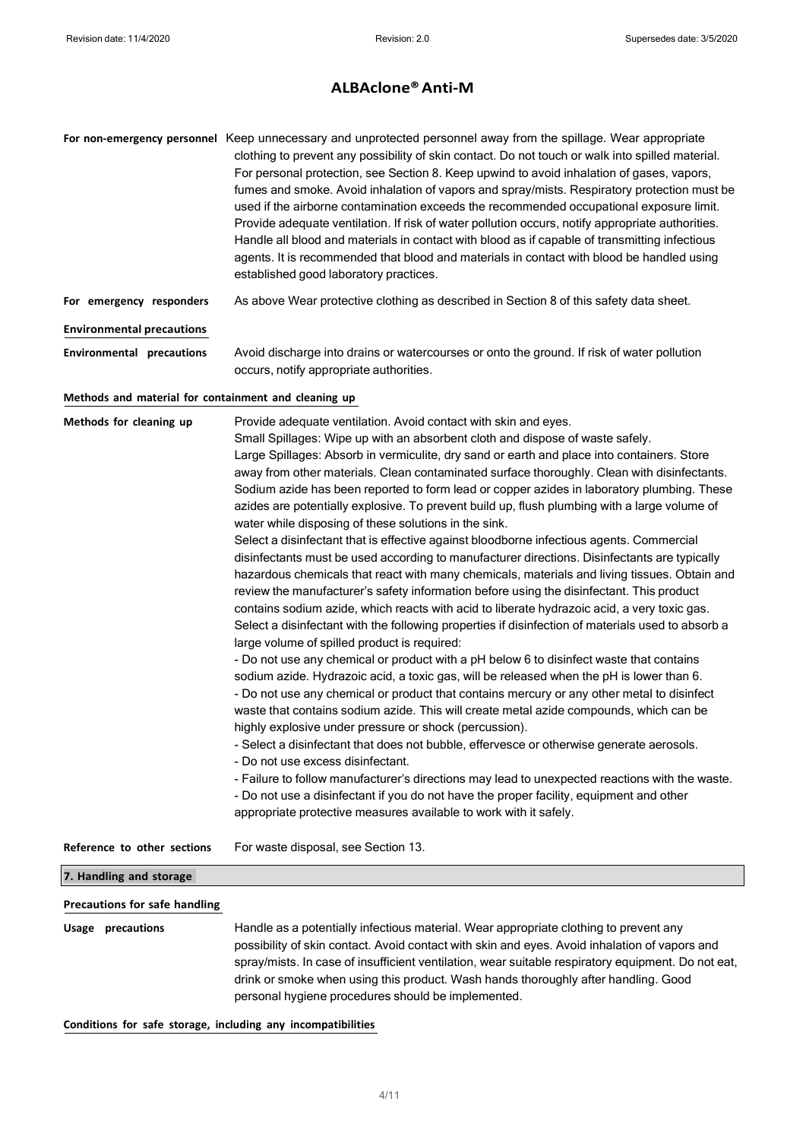|                                                      | For non-emergency personnel Keep unnecessary and unprotected personnel away from the spillage. Wear appropriate<br>clothing to prevent any possibility of skin contact. Do not touch or walk into spilled material.<br>For personal protection, see Section 8. Keep upwind to avoid inhalation of gases, vapors,<br>fumes and smoke. Avoid inhalation of vapors and spray/mists. Respiratory protection must be<br>used if the airborne contamination exceeds the recommended occupational exposure limit.<br>Provide adequate ventilation. If risk of water pollution occurs, notify appropriate authorities.<br>Handle all blood and materials in contact with blood as if capable of transmitting infectious<br>agents. It is recommended that blood and materials in contact with blood be handled using<br>established good laboratory practices.                                                                                                                                                                                                                                                                                                                                                                                                                                                                                                                                                                                                                                                                                                                                                                                                                                                                                                                                                                                                                                                                                                                                                                                                                                       |
|------------------------------------------------------|----------------------------------------------------------------------------------------------------------------------------------------------------------------------------------------------------------------------------------------------------------------------------------------------------------------------------------------------------------------------------------------------------------------------------------------------------------------------------------------------------------------------------------------------------------------------------------------------------------------------------------------------------------------------------------------------------------------------------------------------------------------------------------------------------------------------------------------------------------------------------------------------------------------------------------------------------------------------------------------------------------------------------------------------------------------------------------------------------------------------------------------------------------------------------------------------------------------------------------------------------------------------------------------------------------------------------------------------------------------------------------------------------------------------------------------------------------------------------------------------------------------------------------------------------------------------------------------------------------------------------------------------------------------------------------------------------------------------------------------------------------------------------------------------------------------------------------------------------------------------------------------------------------------------------------------------------------------------------------------------------------------------------------------------------------------------------------------------|
| For emergency responders                             | As above Wear protective clothing as described in Section 8 of this safety data sheet.                                                                                                                                                                                                                                                                                                                                                                                                                                                                                                                                                                                                                                                                                                                                                                                                                                                                                                                                                                                                                                                                                                                                                                                                                                                                                                                                                                                                                                                                                                                                                                                                                                                                                                                                                                                                                                                                                                                                                                                                       |
| <b>Environmental precautions</b>                     |                                                                                                                                                                                                                                                                                                                                                                                                                                                                                                                                                                                                                                                                                                                                                                                                                                                                                                                                                                                                                                                                                                                                                                                                                                                                                                                                                                                                                                                                                                                                                                                                                                                                                                                                                                                                                                                                                                                                                                                                                                                                                              |
| <b>Environmental precautions</b>                     | Avoid discharge into drains or watercourses or onto the ground. If risk of water pollution<br>occurs, notify appropriate authorities.                                                                                                                                                                                                                                                                                                                                                                                                                                                                                                                                                                                                                                                                                                                                                                                                                                                                                                                                                                                                                                                                                                                                                                                                                                                                                                                                                                                                                                                                                                                                                                                                                                                                                                                                                                                                                                                                                                                                                        |
| Methods and material for containment and cleaning up |                                                                                                                                                                                                                                                                                                                                                                                                                                                                                                                                                                                                                                                                                                                                                                                                                                                                                                                                                                                                                                                                                                                                                                                                                                                                                                                                                                                                                                                                                                                                                                                                                                                                                                                                                                                                                                                                                                                                                                                                                                                                                              |
| Methods for cleaning up                              | Provide adequate ventilation. Avoid contact with skin and eyes.<br>Small Spillages: Wipe up with an absorbent cloth and dispose of waste safely.<br>Large Spillages: Absorb in vermiculite, dry sand or earth and place into containers. Store<br>away from other materials. Clean contaminated surface thoroughly. Clean with disinfectants.<br>Sodium azide has been reported to form lead or copper azides in laboratory plumbing. These<br>azides are potentially explosive. To prevent build up, flush plumbing with a large volume of<br>water while disposing of these solutions in the sink.<br>Select a disinfectant that is effective against bloodborne infectious agents. Commercial<br>disinfectants must be used according to manufacturer directions. Disinfectants are typically<br>hazardous chemicals that react with many chemicals, materials and living tissues. Obtain and<br>review the manufacturer's safety information before using the disinfectant. This product<br>contains sodium azide, which reacts with acid to liberate hydrazoic acid, a very toxic gas.<br>Select a disinfectant with the following properties if disinfection of materials used to absorb a<br>large volume of spilled product is required:<br>- Do not use any chemical or product with a pH below 6 to disinfect waste that contains<br>sodium azide. Hydrazoic acid, a toxic gas, will be released when the pH is lower than 6.<br>- Do not use any chemical or product that contains mercury or any other metal to disinfect<br>waste that contains sodium azide. This will create metal azide compounds, which can be<br>highly explosive under pressure or shock (percussion).<br>- Select a disinfectant that does not bubble, effervesce or otherwise generate aerosols.<br>- Do not use excess disinfectant.<br>- Failure to follow manufacturer's directions may lead to unexpected reactions with the waste.<br>- Do not use a disinfectant if you do not have the proper facility, equipment and other<br>appropriate protective measures available to work with it safely. |
| Reference to other sections                          | For waste disposal, see Section 13.                                                                                                                                                                                                                                                                                                                                                                                                                                                                                                                                                                                                                                                                                                                                                                                                                                                                                                                                                                                                                                                                                                                                                                                                                                                                                                                                                                                                                                                                                                                                                                                                                                                                                                                                                                                                                                                                                                                                                                                                                                                          |
| 7. Handling and storage                              |                                                                                                                                                                                                                                                                                                                                                                                                                                                                                                                                                                                                                                                                                                                                                                                                                                                                                                                                                                                                                                                                                                                                                                                                                                                                                                                                                                                                                                                                                                                                                                                                                                                                                                                                                                                                                                                                                                                                                                                                                                                                                              |
| <b>Precautions for safe handling</b>                 |                                                                                                                                                                                                                                                                                                                                                                                                                                                                                                                                                                                                                                                                                                                                                                                                                                                                                                                                                                                                                                                                                                                                                                                                                                                                                                                                                                                                                                                                                                                                                                                                                                                                                                                                                                                                                                                                                                                                                                                                                                                                                              |
| <b>Usage precautions</b>                             | Handle as a potentially infectious material. Wear appropriate clothing to prevent any<br>possibility of skin contact. Avoid contact with skin and eyes. Avoid inhalation of vapors and<br>spray/mists. In case of insufficient ventilation, wear suitable respiratory equipment. Do not eat,<br>drink or smoke when using this product. Wash hands thoroughly after handling. Good                                                                                                                                                                                                                                                                                                                                                                                                                                                                                                                                                                                                                                                                                                                                                                                                                                                                                                                                                                                                                                                                                                                                                                                                                                                                                                                                                                                                                                                                                                                                                                                                                                                                                                           |

Conditions for safe storage, including any incompatibilities

personal hygiene procedures should be implemented.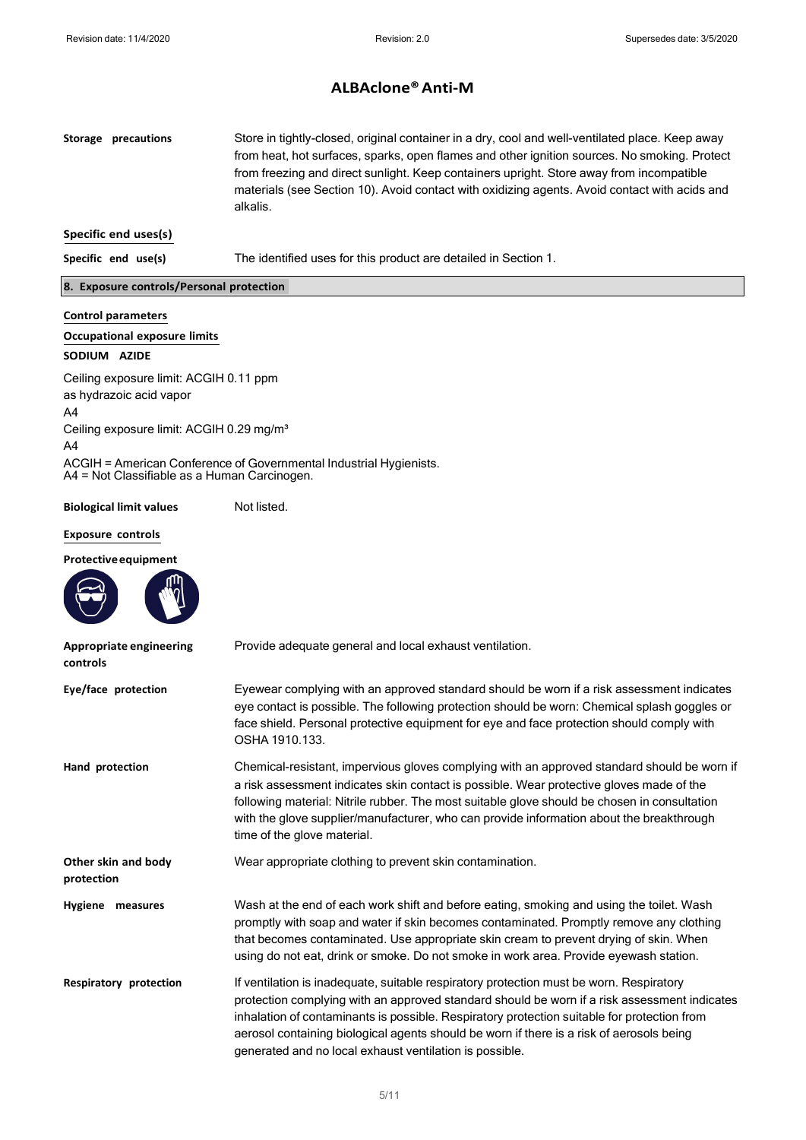Storage precautions Store in tightly-closed, original container in a dry, cool and well-ventilated place. Keep away from heat, hot surfaces, sparks, open flames and other ignition sources. No smoking. Protect from freezing and direct sunlight. Keep containers upright. Store away from incompatible materials (see Section 10). Avoid contact with oxidizing agents. Avoid contact with acids and alkalis. Specific end uses(s) Specific end use(s) The identified uses for this product are detailed in Section 1.

#### 8. Exposure controls/Personal protection

## Control parameters Occupational exposure limits SODIUM AZIDE Ceiling exposure limit: ACGIH 0.11 ppm as hydrazoic acid vapor A4 Ceiling exposure limit: ACGIH 0.29 mg/m<sup>3</sup> A4 ACGIH = American Conference of Governmental Industrial Hygienists.

A4 = Not Classifiable as a Human Carcinogen.

#### Biological limit values Not listed.

#### Exposure controls

#### Protective equipment

| Appropriate engineering<br>controls | Provide adequate general and local exhaust ventilation.                                                                                                                                                                                                                                                                                                                                                                                       |
|-------------------------------------|-----------------------------------------------------------------------------------------------------------------------------------------------------------------------------------------------------------------------------------------------------------------------------------------------------------------------------------------------------------------------------------------------------------------------------------------------|
| Eye/face protection                 | Eyewear complying with an approved standard should be worn if a risk assessment indicates<br>eye contact is possible. The following protection should be worn: Chemical splash goggles or<br>face shield. Personal protective equipment for eye and face protection should comply with<br>OSHA 1910.133.                                                                                                                                      |
| Hand protection                     | Chemical-resistant, impervious gloves complying with an approved standard should be worn if<br>a risk assessment indicates skin contact is possible. Wear protective gloves made of the<br>following material: Nitrile rubber. The most suitable glove should be chosen in consultation<br>with the glove supplier/manufacturer, who can provide information about the breakthrough<br>time of the glove material.                            |
| Other skin and body<br>protection   | Wear appropriate clothing to prevent skin contamination.                                                                                                                                                                                                                                                                                                                                                                                      |
| Hygiene measures                    | Wash at the end of each work shift and before eating, smoking and using the toilet. Wash<br>promptly with soap and water if skin becomes contaminated. Promptly remove any clothing<br>that becomes contaminated. Use appropriate skin cream to prevent drying of skin. When<br>using do not eat, drink or smoke. Do not smoke in work area. Provide eyewash station.                                                                         |
| Respiratory protection              | If ventilation is inadequate, suitable respiratory protection must be worn. Respiratory<br>protection complying with an approved standard should be worn if a risk assessment indicates<br>inhalation of contaminants is possible. Respiratory protection suitable for protection from<br>aerosol containing biological agents should be worn if there is a risk of aerosols being<br>generated and no local exhaust ventilation is possible. |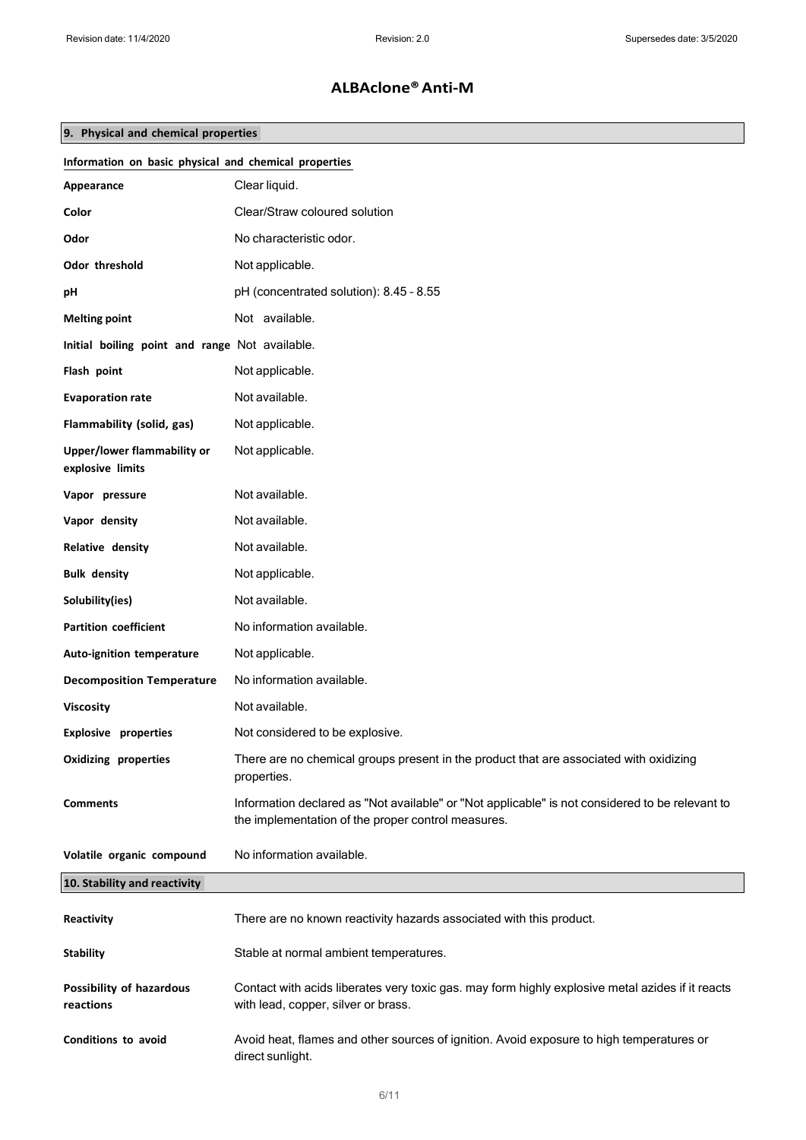## 9. Physical and chemical properties

| Information on basic physical and chemical properties |                                                                                                                                                       |  |
|-------------------------------------------------------|-------------------------------------------------------------------------------------------------------------------------------------------------------|--|
| Appearance                                            | Clear liquid.                                                                                                                                         |  |
| Color                                                 | Clear/Straw coloured solution                                                                                                                         |  |
| Odor                                                  | No characteristic odor.                                                                                                                               |  |
| Odor threshold                                        | Not applicable.                                                                                                                                       |  |
| pН                                                    | pH (concentrated solution): 8.45 - 8.55                                                                                                               |  |
| <b>Melting point</b>                                  | Not available.                                                                                                                                        |  |
| Initial boiling point and range Not available.        |                                                                                                                                                       |  |
| Flash point                                           | Not applicable.                                                                                                                                       |  |
| <b>Evaporation rate</b>                               | Not available.                                                                                                                                        |  |
| Flammability (solid, gas)                             | Not applicable.                                                                                                                                       |  |
| Upper/lower flammability or<br>explosive limits       | Not applicable.                                                                                                                                       |  |
| Vapor pressure                                        | Not available.                                                                                                                                        |  |
| Vapor density                                         | Not available.                                                                                                                                        |  |
| Relative density                                      | Not available.                                                                                                                                        |  |
| <b>Bulk density</b>                                   | Not applicable.                                                                                                                                       |  |
| Solubility(ies)                                       | Not available.                                                                                                                                        |  |
| <b>Partition coefficient</b>                          | No information available.                                                                                                                             |  |
| Auto-ignition temperature                             | Not applicable.                                                                                                                                       |  |
| <b>Decomposition Temperature</b>                      | No information available.                                                                                                                             |  |
| <b>Viscosity</b>                                      | Not available.                                                                                                                                        |  |
| <b>Explosive properties</b>                           | Not considered to be explosive.                                                                                                                       |  |
| <b>Oxidizing properties</b>                           | There are no chemical groups present in the product that are associated with oxidizing<br>properties.                                                 |  |
| <b>Comments</b>                                       | Information declared as "Not available" or "Not applicable" is not considered to be relevant to<br>the implementation of the proper control measures. |  |
| Volatile organic compound                             | No information available.                                                                                                                             |  |
| 10. Stability and reactivity                          |                                                                                                                                                       |  |
| Reactivity                                            | There are no known reactivity hazards associated with this product.                                                                                   |  |
| <b>Stability</b>                                      | Stable at normal ambient temperatures.                                                                                                                |  |
| Possibility of hazardous<br>reactions                 | Contact with acids liberates very toxic gas. may form highly explosive metal azides if it reacts<br>with lead, copper, silver or brass.               |  |
| Conditions to avoid                                   | Avoid heat, flames and other sources of ignition. Avoid exposure to high temperatures or<br>direct sunlight.                                          |  |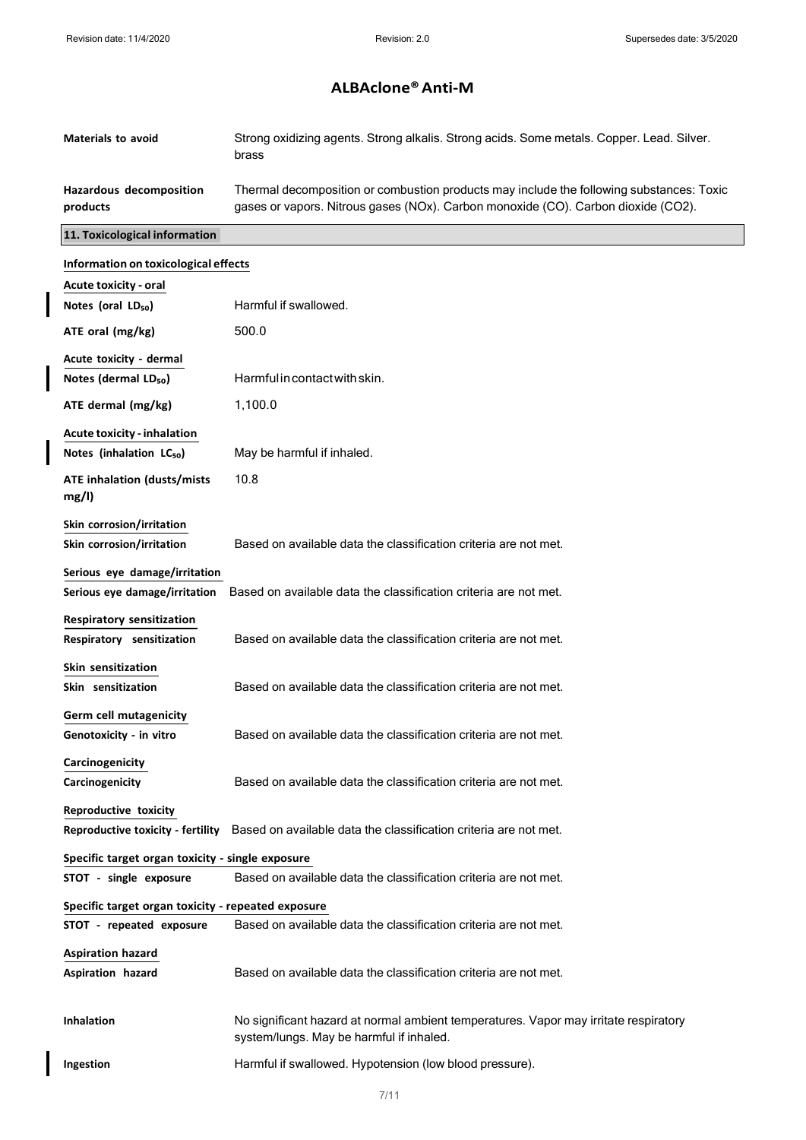$\overline{\phantom{a}}$ 

 $\overline{\phantom{a}}$ 

 $\overline{\phantom{a}}$ 

# ALBAclone® Anti-M

| <b>Materials to avoid</b>                                     | Strong oxidizing agents. Strong alkalis. Strong acids. Some metals. Copper. Lead. Silver.<br>brass                                                                            |
|---------------------------------------------------------------|-------------------------------------------------------------------------------------------------------------------------------------------------------------------------------|
| Hazardous decomposition<br>products                           | Thermal decomposition or combustion products may include the following substances: Toxic<br>gases or vapors. Nitrous gases (NOx). Carbon monoxide (CO). Carbon dioxide (CO2). |
| 11. Toxicological information                                 |                                                                                                                                                                               |
| Information on toxicological effects                          |                                                                                                                                                                               |
| <b>Acute toxicity - oral</b>                                  |                                                                                                                                                                               |
| Notes (oral LD <sub>50</sub> )                                | Harmful if swallowed.                                                                                                                                                         |
| ATE oral (mg/kg)                                              | 500.0                                                                                                                                                                         |
| Acute toxicity - dermal                                       |                                                                                                                                                                               |
| Notes (dermal LD <sub>50</sub> )                              | Harmful in contact with skin.                                                                                                                                                 |
| ATE dermal (mg/kg)                                            | 1,100.0                                                                                                                                                                       |
| <b>Acute toxicity - inhalation</b>                            |                                                                                                                                                                               |
| Notes (inhalation LC <sub>50</sub> )                          | May be harmful if inhaled.                                                                                                                                                    |
| <b>ATE inhalation (dusts/mists</b><br>mg/l)                   | 10.8                                                                                                                                                                          |
| Skin corrosion/irritation                                     |                                                                                                                                                                               |
| Skin corrosion/irritation                                     | Based on available data the classification criteria are not met.                                                                                                              |
| Serious eye damage/irritation                                 |                                                                                                                                                                               |
| Serious eye damage/irritation                                 | Based on available data the classification criteria are not met.                                                                                                              |
| <b>Respiratory sensitization</b><br>Respiratory sensitization | Based on available data the classification criteria are not met.                                                                                                              |
| Skin sensitization<br>Skin sensitization                      | Based on available data the classification criteria are not met.                                                                                                              |
| Germ cell mutagenicity<br>Genotoxicity - in vitro             | Based on available data the classification criteria are not met.                                                                                                              |
| Carcinogenicity                                               |                                                                                                                                                                               |
| Carcinogenicity                                               | Based on available data the classification criteria are not met.                                                                                                              |
| Reproductive toxicity                                         | Reproductive toxicity - fertility Based on available data the classification criteria are not met.                                                                            |
| Specific target organ toxicity - single exposure              |                                                                                                                                                                               |
| STOT - single exposure                                        | Based on available data the classification criteria are not met.                                                                                                              |
| Specific target organ toxicity - repeated exposure            |                                                                                                                                                                               |
| STOT - repeated exposure                                      | Based on available data the classification criteria are not met.                                                                                                              |
| <b>Aspiration hazard</b>                                      |                                                                                                                                                                               |
| Aspiration hazard                                             | Based on available data the classification criteria are not met.                                                                                                              |
| Inhalation                                                    | No significant hazard at normal ambient temperatures. Vapor may irritate respiratory<br>system/lungs. May be harmful if inhaled.                                              |
| Ingestion                                                     | Harmful if swallowed. Hypotension (low blood pressure).                                                                                                                       |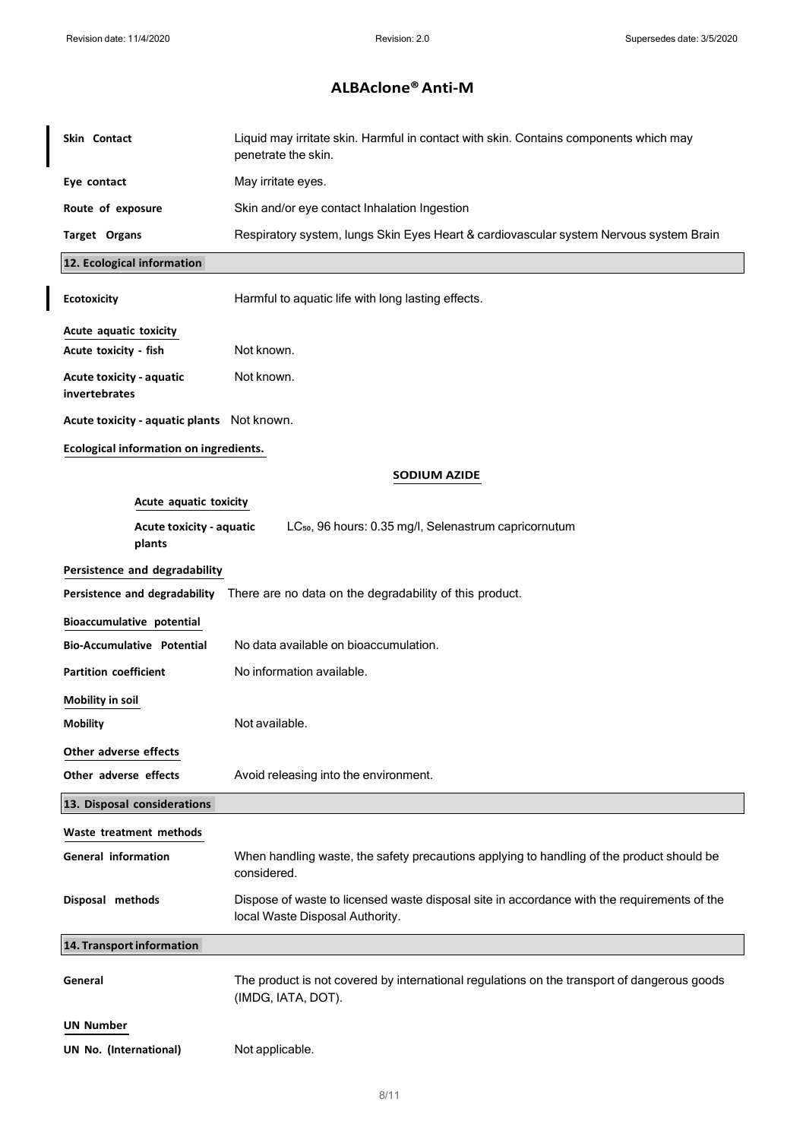$\overline{\phantom{a}}$ 

# ALBAclone® Anti-M

| Skin Contact                                    | Liquid may irritate skin. Harmful in contact with skin. Contains components which may<br>penetrate the skin.                   |
|-------------------------------------------------|--------------------------------------------------------------------------------------------------------------------------------|
| Eye contact                                     | May irritate eyes.                                                                                                             |
| Route of exposure                               | Skin and/or eye contact Inhalation Ingestion                                                                                   |
| Target Organs                                   | Respiratory system, lungs Skin Eyes Heart & cardiovascular system Nervous system Brain                                         |
| 12. Ecological information                      |                                                                                                                                |
| <b>Ecotoxicity</b>                              | Harmful to aquatic life with long lasting effects.                                                                             |
| Acute aquatic toxicity<br>Acute toxicity - fish | Not known.                                                                                                                     |
| Acute toxicity - aquatic<br>invertebrates       | Not known.                                                                                                                     |
| Acute toxicity - aquatic plants Not known.      |                                                                                                                                |
| Ecological information on ingredients.          |                                                                                                                                |
|                                                 | <b>SODIUM AZIDE</b>                                                                                                            |
| Acute aquatic toxicity                          |                                                                                                                                |
| Acute toxicity - aquatic<br>plants              | LC <sub>50</sub> , 96 hours: 0.35 mg/l, Selenastrum capricornutum                                                              |
| Persistence and degradability                   |                                                                                                                                |
| Persistence and degradability                   | There are no data on the degradability of this product.                                                                        |
| Bioaccumulative potential                       |                                                                                                                                |
| <b>Bio-Accumulative Potential</b>               | No data available on bioaccumulation.                                                                                          |
| <b>Partition coefficient</b>                    | No information available.                                                                                                      |
| <b>Mobility in soil</b>                         |                                                                                                                                |
| Mobility                                        | Not available.                                                                                                                 |
| Other adverse effects                           |                                                                                                                                |
| Other adverse effects                           | Avoid releasing into the environment.                                                                                          |
| 13. Disposal considerations                     |                                                                                                                                |
| Waste treatment methods                         |                                                                                                                                |
| <b>General information</b>                      | When handling waste, the safety precautions applying to handling of the product should be<br>considered.                       |
| Disposal methods                                | Dispose of waste to licensed waste disposal site in accordance with the requirements of the<br>local Waste Disposal Authority. |
| 14. Transport information                       |                                                                                                                                |
| General                                         | The product is not covered by international regulations on the transport of dangerous goods<br>(IMDG, IATA, DOT).              |
| UN Number                                       |                                                                                                                                |
| UN No. (International)                          | Not applicable.                                                                                                                |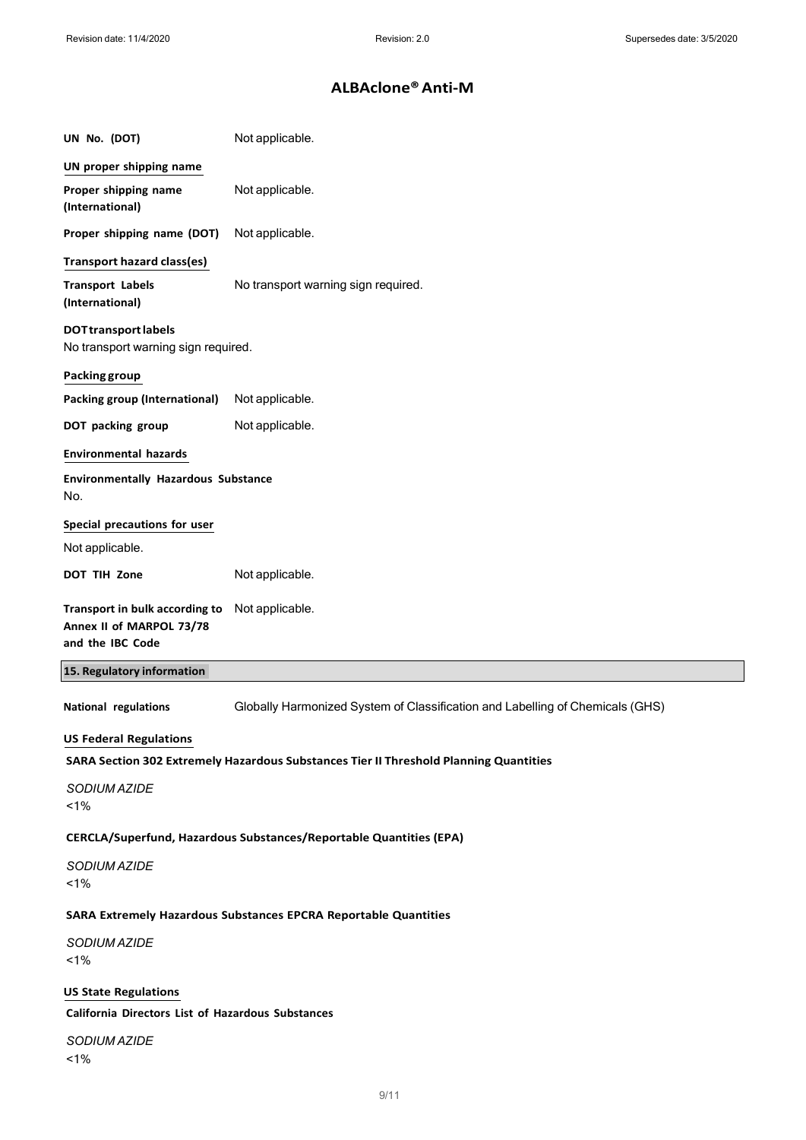| UN No. (DOT)                                                                   | Not applicable.                                                                       |
|--------------------------------------------------------------------------------|---------------------------------------------------------------------------------------|
| UN proper shipping name                                                        |                                                                                       |
| Proper shipping name<br>(International)                                        | Not applicable.                                                                       |
| Proper shipping name (DOT)                                                     | Not applicable.                                                                       |
| <b>Transport hazard class(es)</b>                                              |                                                                                       |
| <b>Transport Labels</b><br>(International)                                     | No transport warning sign required.                                                   |
| <b>DOTtransport labels</b><br>No transport warning sign required.              |                                                                                       |
| Packing group                                                                  |                                                                                       |
| <b>Packing group (International)</b>                                           | Not applicable.                                                                       |
| DOT packing group                                                              | Not applicable.                                                                       |
| <b>Environmental hazards</b>                                                   |                                                                                       |
| <b>Environmentally Hazardous Substance</b><br>No.                              |                                                                                       |
| Special precautions for user                                                   |                                                                                       |
| Not applicable.                                                                |                                                                                       |
| DOT TIH Zone                                                                   | Not applicable.                                                                       |
| Transport in bulk according to<br>Annex II of MARPOL 73/78<br>and the IBC Code | Not applicable.                                                                       |
| 15. Regulatory information                                                     |                                                                                       |
| National regulations                                                           | Globally Harmonized System of Classification and Labelling of Chemicals (GHS)         |
| <b>US Federal Regulations</b>                                                  |                                                                                       |
|                                                                                | SARA Section 302 Extremely Hazardous Substances Tier II Threshold Planning Quantities |
| SODIUM AZIDE<br>1%                                                             |                                                                                       |
|                                                                                | CERCLA/Superfund, Hazardous Substances/Reportable Quantities (EPA)                    |
| SODIUM AZIDE<br>1%                                                             |                                                                                       |
|                                                                                | SARA Extremely Hazardous Substances EPCRA Reportable Quantities                       |
| SODIUM AZIDE<br>1%                                                             |                                                                                       |
| <b>US State Regulations</b>                                                    |                                                                                       |
| California Directors List of Hazardous Substances                              |                                                                                       |
| SODIUM AZIDE<br>1%                                                             |                                                                                       |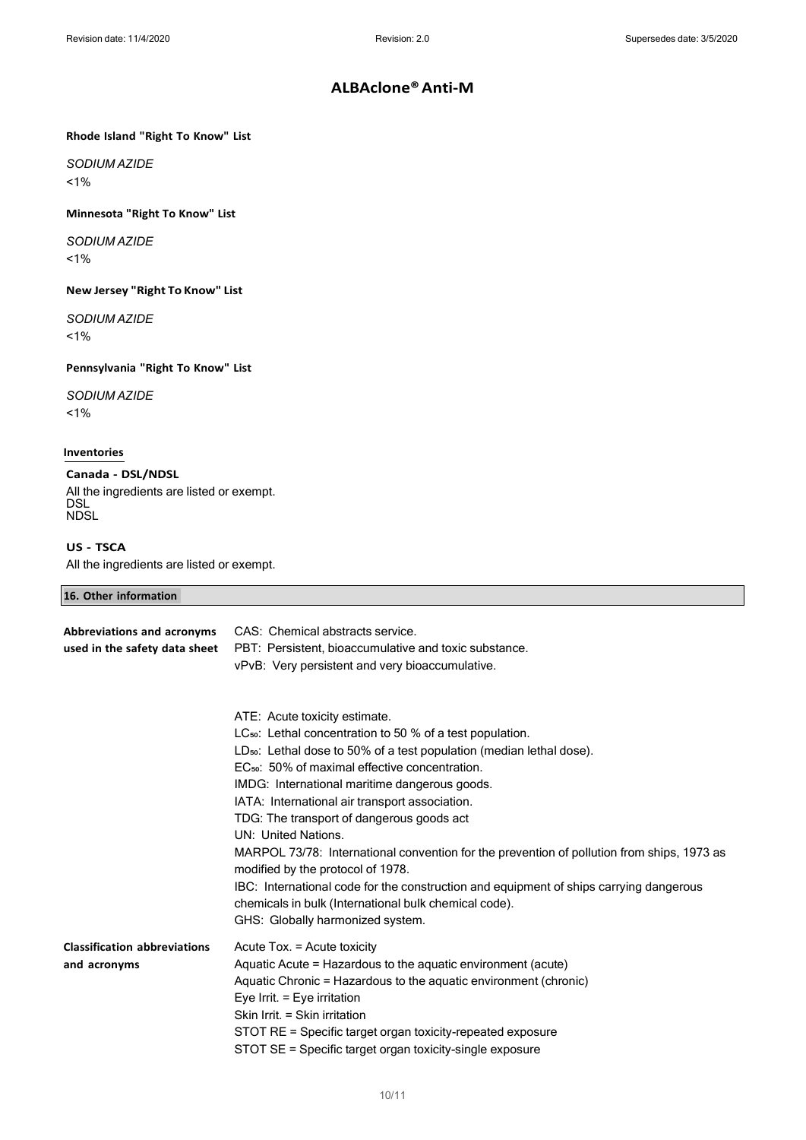#### Rhode Island "Right To Know" List

SODIUM AZIDE <1%

#### Minnesota "Right To Know" List

SODIUM AZIDE <1%

New Jersey "Right To Know" List

#### SODIUM AZIDE <1%

#### Pennsylvania "Right To Know" List

#### SODIUM AZIDE

<1%

#### Inventories

### Canada - DSL/NDSL

16. Other information

All the ingredients are listed or exempt. DSL NDSL

#### US - TSCA

All the ingredients are listed or exempt.

| <b>10. Other Information</b>                                |                                                                                                                                                                                                                                                                                                                                                                                                                                                                                                                                                                                                                                                                                                                                                           |  |
|-------------------------------------------------------------|-----------------------------------------------------------------------------------------------------------------------------------------------------------------------------------------------------------------------------------------------------------------------------------------------------------------------------------------------------------------------------------------------------------------------------------------------------------------------------------------------------------------------------------------------------------------------------------------------------------------------------------------------------------------------------------------------------------------------------------------------------------|--|
| Abbreviations and acronyms<br>used in the safety data sheet | CAS: Chemical abstracts service.<br>PBT: Persistent, bioaccumulative and toxic substance.<br>vPvB: Very persistent and very bioaccumulative.                                                                                                                                                                                                                                                                                                                                                                                                                                                                                                                                                                                                              |  |
|                                                             | ATE: Acute toxicity estimate.<br>LC <sub>50</sub> : Lethal concentration to 50 % of a test population.<br>LD <sub>50</sub> : Lethal dose to 50% of a test population (median lethal dose).<br>EC <sub>50</sub> : 50% of maximal effective concentration.<br>IMDG: International maritime dangerous goods.<br>IATA: International air transport association.<br>TDG: The transport of dangerous goods act<br>UN: United Nations.<br>MARPOL 73/78: International convention for the prevention of pollution from ships, 1973 as<br>modified by the protocol of 1978.<br>IBC: International code for the construction and equipment of ships carrying dangerous<br>chemicals in bulk (International bulk chemical code).<br>GHS: Globally harmonized system. |  |
| <b>Classification abbreviations</b><br>and acronyms         | Acute Tox. = Acute toxicity<br>Aquatic Acute = Hazardous to the aquatic environment (acute)<br>Aquatic Chronic = Hazardous to the aquatic environment (chronic)<br>Eye Irrit. = Eye irritation<br>Skin Irrit. = Skin irritation<br>STOT RE = Specific target organ toxicity-repeated exposure                                                                                                                                                                                                                                                                                                                                                                                                                                                             |  |

STOT SE = Specific target organ toxicity-single exposure